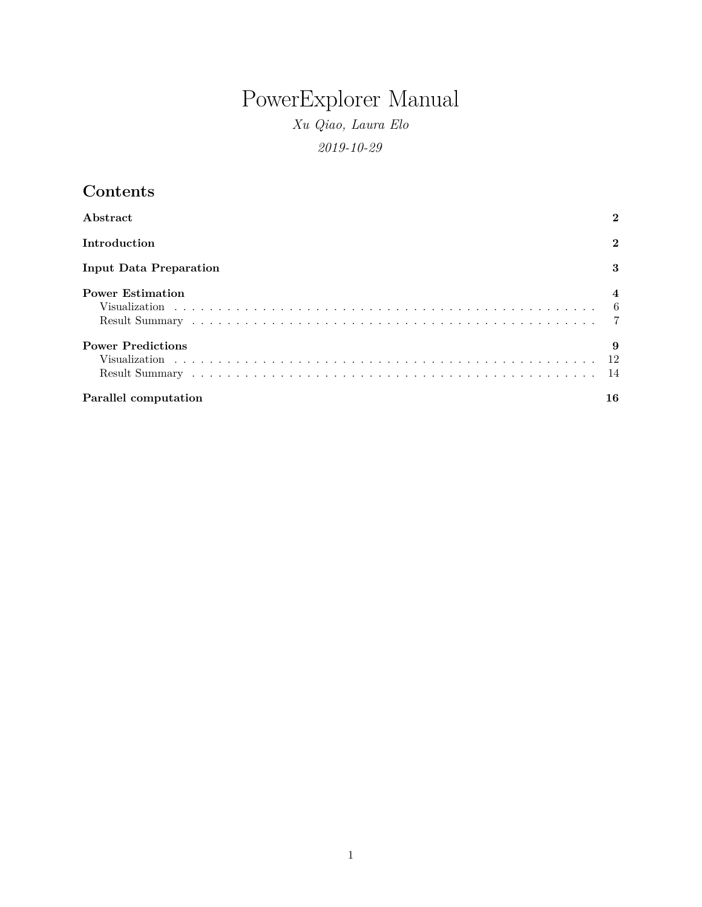# PowerExplorer Manual

*Xu Qiao, Laura Elo 2019-10-29*

| Contents                      |                |
|-------------------------------|----------------|
| Abstract                      | 2              |
| Introduction                  | $\overline{2}$ |
| <b>Input Data Preparation</b> | 3              |
| <b>Power Estimation</b>       | $\overline{4}$ |
|                               |                |
|                               |                |
| <b>Power Predictions</b>      | 9              |
|                               |                |
|                               |                |
| Parallel computation          | 16             |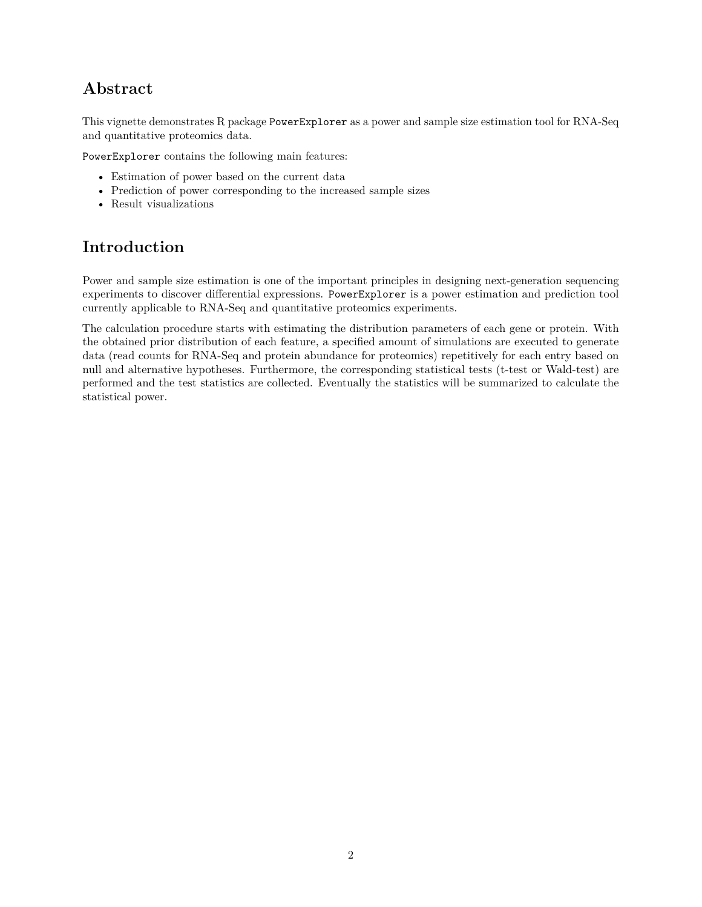# <span id="page-1-0"></span>**Abstract**

This vignette demonstrates R package PowerExplorer as a power and sample size estimation tool for RNA-Seq and quantitative proteomics data.

PowerExplorer contains the following main features:

- Estimation of power based on the current data
- Prediction of power corresponding to the increased sample sizes
- Result visualizations

# <span id="page-1-1"></span>**Introduction**

Power and sample size estimation is one of the important principles in designing next-generation sequencing experiments to discover differential expressions. PowerExplorer is a power estimation and prediction tool currently applicable to RNA-Seq and quantitative proteomics experiments.

The calculation procedure starts with estimating the distribution parameters of each gene or protein. With the obtained prior distribution of each feature, a specified amount of simulations are executed to generate data (read counts for RNA-Seq and protein abundance for proteomics) repetitively for each entry based on null and alternative hypotheses. Furthermore, the corresponding statistical tests (t-test or Wald-test) are performed and the test statistics are collected. Eventually the statistics will be summarized to calculate the statistical power.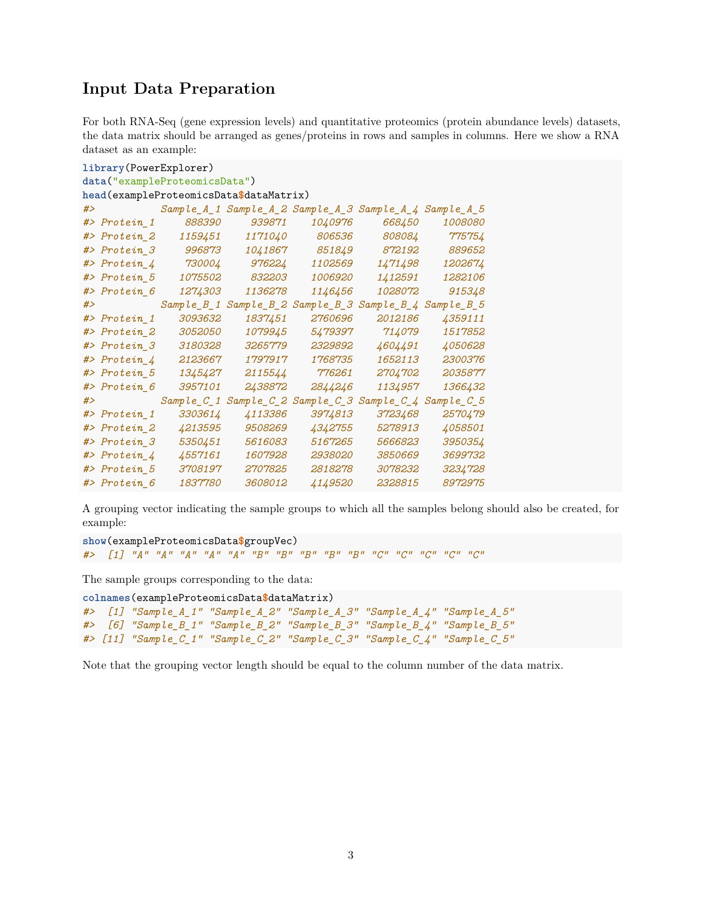## <span id="page-2-0"></span>**Input Data Preparation**

For both RNA-Seq (gene expression levels) and quantitative proteomics (protein abundance levels) datasets, the data matrix should be arranged as genes/proteins in rows and samples in columns. Here we show a RNA dataset as an example:

```
library(PowerExplorer)
data("exampleProteomicsData")
head(exampleProteomicsData$dataMatrix)
#> Sample_A_1 Sample_A_2 Sample_A_3 Sample_A_4 Sample_A_5
#> Protein_1 888390 939871 1040976 668450 1008080
#> Protein_2 1159451 1171040 806536 808084 775754
#> Protein_3 996873 1041867 851849 872192 889652
#> Protein_4 730004 976224 1102569 1471498 1202674
#> Protein_5 1075502 832203 1006920 1412591 1282106
#> Protein_6 1274303 1136278 1146456 1028072 915348
#> Sample_B_1 Sample_B_2 Sample_B_3 Sample_B_4 Sample_B_5
#> Protein_1 3093632 1837451 2760696 2012186 4359111
#> Protein_2 3052050 1079945 5479397 714079 1517852
#> Protein_3 3180328 3265779 2329892 4604491 4050628
#> Protein_4 2123667 1797917 1768735 1652113 2300376
#> Protein_5 1345427 2115544 776261 2704702 2035877
#> Protein_6 3957101 2438872 2844246 1134957 1366432
#> Sample_C_1 Sample_C_2 Sample_C_3 Sample_C_4 Sample_C_5
#> Protein_1 3303614 4113386 3974813 3723468 2570479
#> Protein_2 4213595 9508269 4342755 5278913 4058501
#> Protein_3 5350451 5616083 5167265 5666823 3950354
#> Protein_4 4557161 1607928 2938020 3850669 3699732
#> Protein_5 3708197 2707825 2818278 3078232 3234728
#> Protein_6 1837780 3608012 4149520 2328815 8972975
```
A grouping vector indicating the sample groups to which all the samples belong should also be created, for example:

```
show(exampleProteomicsData$groupVec)
#> [1] "A" "A" "A" "A" "A" "B" "B" "B" "B" "B" "C" "C" "C" "C" "C"
```
The sample groups corresponding to the data:

```
colnames(exampleProteomicsData$dataMatrix)
#> [1] "Sample_A_1" "Sample_A_2" "Sample_A_3" "Sample_A_4" "Sample_A_5"
#> [6] "Sample_B_1" "Sample_B_2" "Sample_B_3" "Sample_B_4" "Sample_B_5"
#> [11] "Sample_C_1" "Sample_C_2" "Sample_C_3" "Sample_C_4" "Sample_C_5"
```
Note that the grouping vector length should be equal to the column number of the data matrix.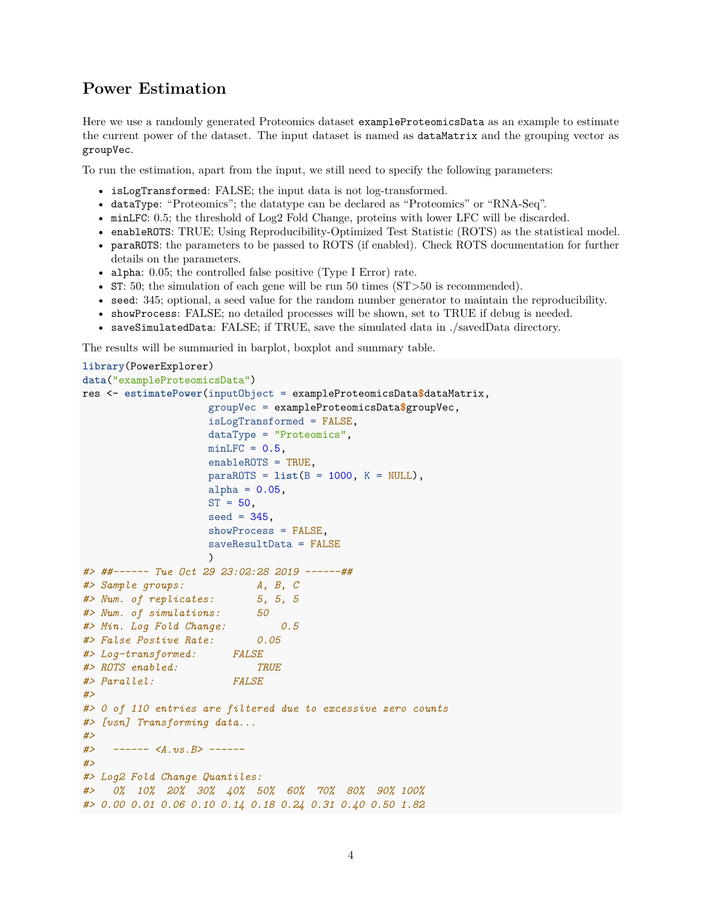### <span id="page-3-0"></span>**Power Estimation**

Here we use a randomly generated Proteomics dataset exampleProteomicsData as an example to estimate the current power of the dataset. The input dataset is named as dataMatrix and the grouping vector as groupVec.

To run the estimation, apart from the input, we still need to specify the following parameters:

- isLogTransformed: FALSE; the input data is not log-transformed.
- dataType: "Proteomics"; the datatype can be declared as "Proteomics" or "RNA-Seq".
- minLFC: 0.5; the threshold of Log2 Fold Change, proteins with lower LFC will be discarded.
- enableROTS: TRUE; Using Reproducibility-Optimized Test Statistic (ROTS) as the statistical model.
- paraROTS: the parameters to be passed to ROTS (if enabled). Check ROTS documentation for further details on the parameters.
- alpha: 0.05; the controlled false positive (Type I Error) rate.
- ST: 50; the simulation of each gene will be run 50 times (ST>50 is recommended).
- seed: 345; optional, a seed value for the random number generator to maintain the reproducibility.
- showProcess: FALSE; no detailed processes will be shown, set to TRUE if debug is needed.
- saveSimulatedData: FALSE; if TRUE, save the simulated data in ./savedData directory.

The results will be summaried in barplot, boxplot and summary table.

```
library(PowerExplorer)
data("exampleProteomicsData")
res <- estimatePower(inputObject = exampleProteomicsData$dataMatrix,
                   groupVec = exampleProteomicsData$groupVec,
                   isLogTransformed = FALSE,
                   dataType = "Proteomics",
                   minLFC = 0.5,
                   enableROTS = TRUE,
                   paraROTS = list(B = 1000, K = NULL),
                   alpha = 0.05,
                   ST = 50,
                   seed = 345,
                   showProcess = FALSE,
                   saveResultData = FALSE
                   \lambda#> ##------ Tue Oct 29 23:02:28 2019 ------##
#> Sample groups: A, B, C
#> Num. of replicates: 5, 5, 5
#> Num. of simulations: 50
#> Min. Log Fold Change: 0.5
#> False Postive Rate: 0.05
#> Log-transformed: FALSE
#> ROTS enabled: TRUE
#> Parallel: FALSE
#>
#> 0 of 110 entries are filtered due to excessive zero counts
#> [vsn] Transforming data...
#>
#> ------ <A.vs.B> ------
#>
#> Log2 Fold Change Quantiles:
#> 0% 10% 20% 30% 40% 50% 60% 70% 80% 90% 100%
#> 0.00 0.01 0.06 0.10 0.14 0.18 0.24 0.31 0.40 0.50 1.82
```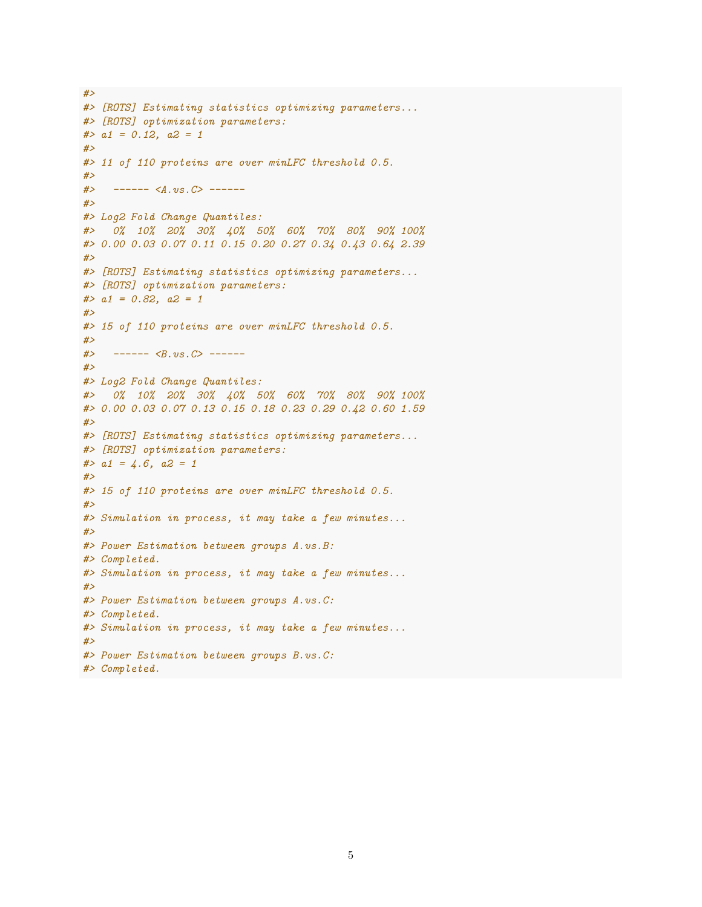```
#>
#> [ROTS] Estimating statistics optimizing parameters...
#> [ROTS] optimization parameters:
#> a1 = 0.12, a2 = 1
#>
#> 11 of 110 proteins are over minLFC threshold 0.5.
#>
#> ------ <A.vs.C> ------
#>
#> Log2 Fold Change Quantiles:
#> 0% 10% 20% 30% 40% 50% 60% 70% 80% 90% 100%
#> 0.00 0.03 0.07 0.11 0.15 0.20 0.27 0.34 0.43 0.64 2.39
#>
#> [ROTS] Estimating statistics optimizing parameters...
#> [ROTS] optimization parameters:
#> a1 = 0.82, a2 = 1
#>
#> 15 of 110 proteins are over minLFC threshold 0.5.
#>
#> ------ <B.vs.C> ------
#>
#> Log2 Fold Change Quantiles:
#> 0% 10% 20% 30% 40% 50% 60% 70% 80% 90% 100%
#> 0.00 0.03 0.07 0.13 0.15 0.18 0.23 0.29 0.42 0.60 1.59
#>
#> [ROTS] Estimating statistics optimizing parameters...
#> [ROTS] optimization parameters:
#> a1 = 4.6, a2 = 1
#>
#> 15 of 110 proteins are over minLFC threshold 0.5.
#>
#> Simulation in process, it may take a few minutes...
#>
#> Power Estimation between groups A.vs.B:
#> Completed.
#> Simulation in process, it may take a few minutes...
#>
#> Power Estimation between groups A.vs.C:
#> Completed.
#> Simulation in process, it may take a few minutes...
#>
#> Power Estimation between groups B.vs.C:
#> Completed.
```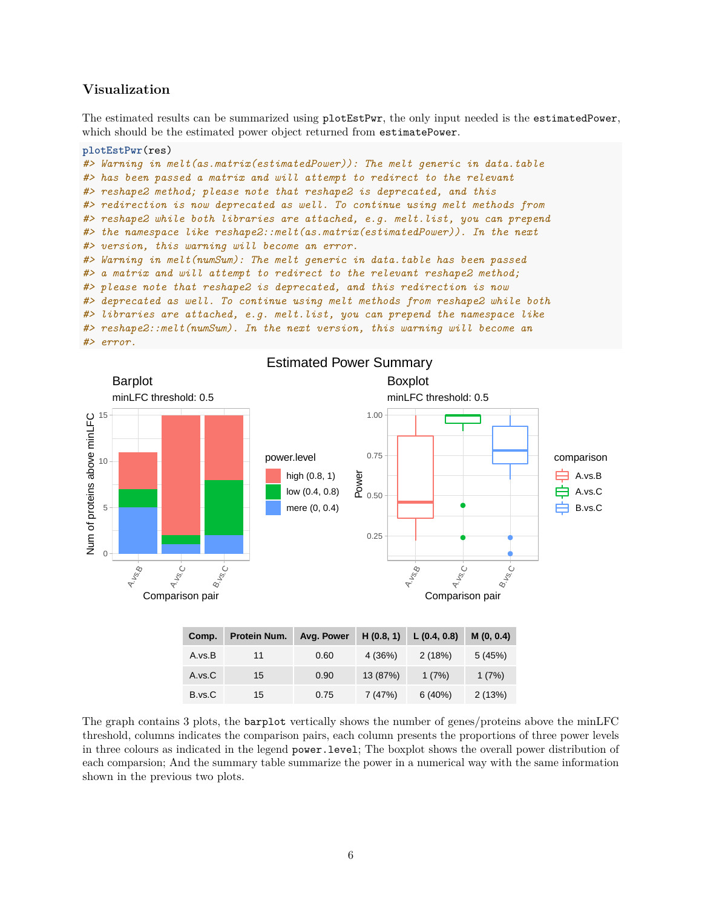### <span id="page-5-0"></span>**Visualization**

The estimated results can be summarized using plotEstPwr, the only input needed is the estimatedPower, which should be the estimated power object returned from estimatePower.

#### **plotEstPwr**(res)

```
#> Warning in melt(as.matrix(estimatedPower)): The melt generic in data.table
#> has been passed a matrix and will attempt to redirect to the relevant
#> reshape2 method; please note that reshape2 is deprecated, and this
#> redirection is now deprecated as well. To continue using melt methods from
#> reshape2 while both libraries are attached, e.g. melt.list, you can prepend
#> the namespace like reshape2::melt(as.matrix(estimatedPower)). In the next
#> version, this warning will become an error.
#> Warning in melt(numSum): The melt generic in data.table has been passed
#> a matrix and will attempt to redirect to the relevant reshape2 method;
#> please note that reshape2 is deprecated, and this redirection is now
#> deprecated as well. To continue using melt methods from reshape2 while both
#> libraries are attached, e.g. melt.list, you can prepend the namespace like
#> reshape2::melt(numSum). In the next version, this warning will become an
#> error.
```


| GUIIID. | PIULEIII NUIII. AVY. FUWEI |      |          | $\Box$ (0.0, 1) L (0.4, 0.0) | IVI (V, V.4 <i>)</i> |
|---------|----------------------------|------|----------|------------------------------|----------------------|
| A.vs.B  | 11                         | 0.60 | 4 (36%)  | 2(18%)                       | 5(45%)               |
| A.vs.C  | 15                         | 0.90 | 13 (87%) | 1(7%)                        | 1(7%)                |
| B.vs.C  | 15                         | 0.75 | 7(47%)   | 6(40%)                       | 2(13%)               |

The graph contains 3 plots, the barplot vertically shows the number of genes/proteins above the minLFC threshold, columns indicates the comparison pairs, each column presents the proportions of three power levels in three colours as indicated in the legend power.level; The boxplot shows the overall power distribution of each comparsion; And the summary table summarize the power in a numerical way with the same information shown in the previous two plots.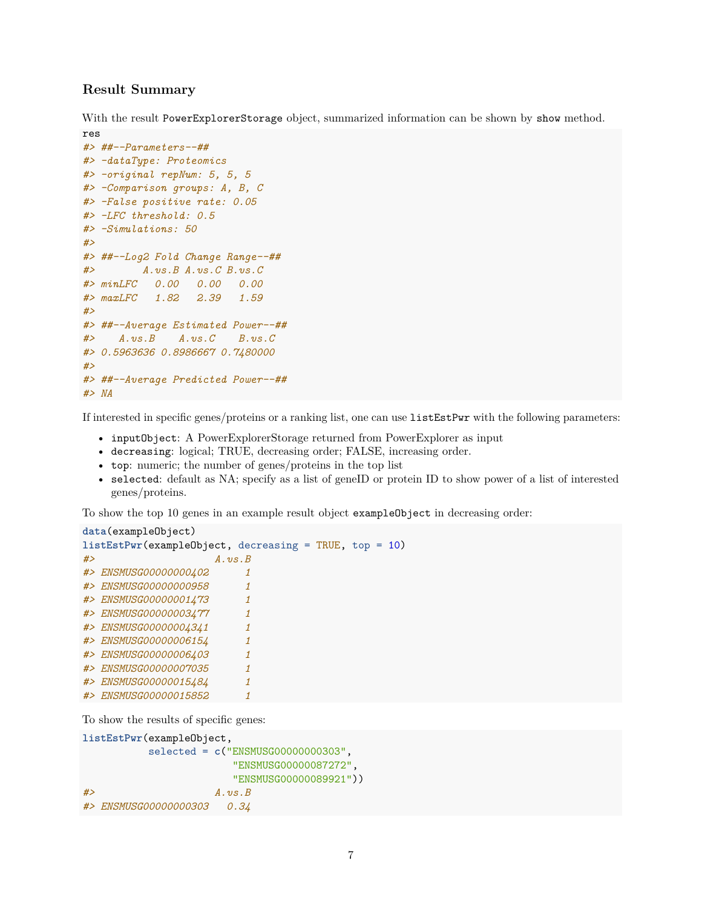### <span id="page-6-0"></span>**Result Summary**

With the result PowerExplorerStorage object, summarized information can be shown by show method.

```
res
#> ##--Parameters--##
#> -dataType: Proteomics
#> -original repNum: 5, 5, 5
#> -Comparison groups: A, B, C
#> -False positive rate: 0.05
#> -LFC threshold: 0.5
#> -Simulations: 50
#>
#> ##--Log2 Fold Change Range--##
#> A.vs.B A.vs.C B.vs.C
#> minLFC 0.00 0.00 0.00
#> maxLFC 1.82 2.39 1.59
#>
#> ##--Average Estimated Power--##
#> A.vs.B A.vs.C B.vs.C
#> 0.5963636 0.8986667 0.7480000
#>
#> ##--Average Predicted Power--##
#> NA
```
If interested in specific genes/proteins or a ranking list, one can use listEstPwr with the following parameters:

- inputObject: A PowerExplorerStorage returned from PowerExplorer as input
- decreasing: logical; TRUE, decreasing order; FALSE, increasing order.
- top: numeric; the number of genes/proteins in the top list
- selected: default as NA; specify as a list of geneID or protein ID to show power of a list of interested genes/proteins.

To show the top 10 genes in an example result object exampleObject in decreasing order:

```
data(exampleObject)
listEstPwr(exampleObject, decreasing = TRUE, top = 10)
#> A.vs.B
#> ENSMUSG00000000402 1
#> ENSMUSG00000000958 1
#> ENSMUSG00000001473 1
#> ENSMUSG00000003477 1
#> ENSMUSG00000004341 1
#> ENSMUSG00000006154 1
#> ENSMUSG00000006403 1
#> ENSMUSG00000007035 1
#> ENSMUSG00000015484 1
#> ENSMUSG00000015852 1
```
To show the results of specific genes:

```
listEstPwr(exampleObject,
         selected = c("ENSMUSG00000000303",
                      "ENSMUSG00000087272",
                      "ENSMUSG00000089921"))
#> A.vs.B
#> ENSMUSG00000000303 0.34
```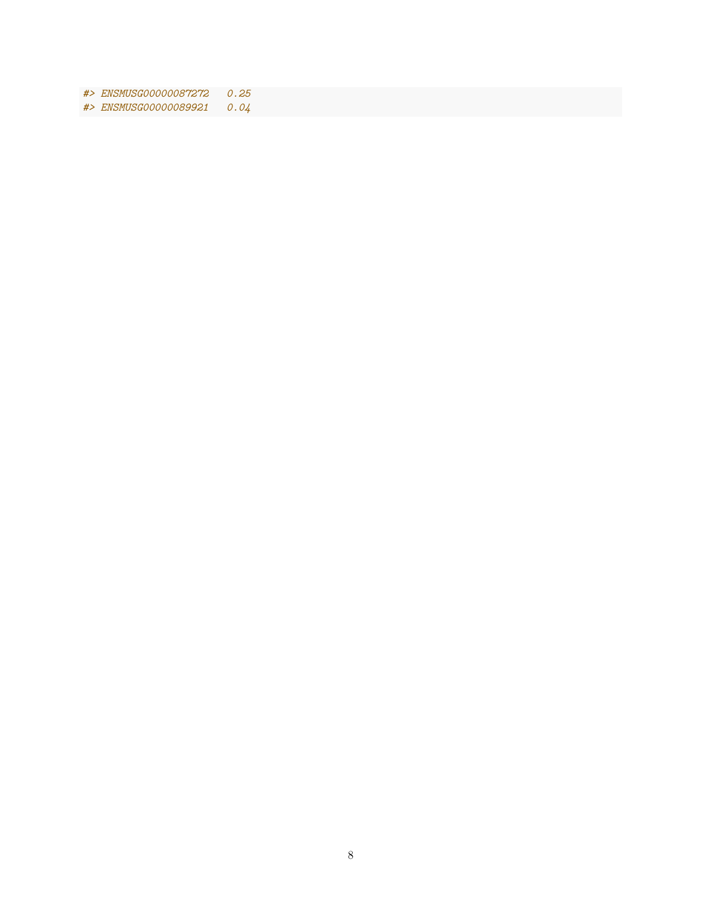*#> ENSMUSG00000087272 0.25*

*#> ENSMUSG00000089921 0.04*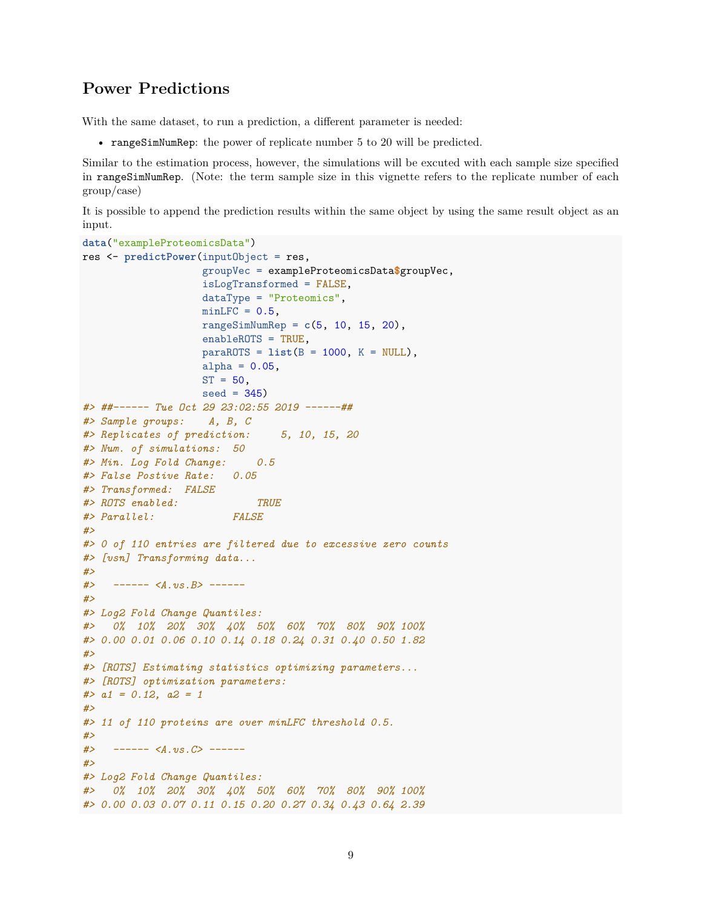### <span id="page-8-0"></span>**Power Predictions**

With the same dataset, to run a prediction, a different parameter is needed:

• rangeSimNumRep: the power of replicate number 5 to 20 will be predicted.

Similar to the estimation process, however, the simulations will be excuted with each sample size specified in rangeSimNumRep. (Note: the term sample size in this vignette refers to the replicate number of each group/case)

It is possible to append the prediction results within the same object by using the same result object as an input.

```
data("exampleProteomicsData")
res <- predictPower(inputObject = res,
                   groupVec = exampleProteomicsData$groupVec,
                   isLogTransformed = FALSE,
                   dataType = "Proteomics",
                   minLFC = 0.5,
                   rangeSimNumRep = c(5, 10, 15, 20),
                   enableROTS = TRUE,
                   paraROTS = list(B = 1000, K = NULL),
                   alpha = 0.05,
                   ST = 50,
                   seed = 345#> ##------ Tue Oct 29 23:02:55 2019 ------##
#> Sample groups: A, B, C
#> Replicates of prediction: 5, 10, 15, 20
#> Num. of simulations: 50
#> Min. Log Fold Change: 0.5
#> False Postive Rate: 0.05
#> Transformed: FALSE
#> ROTS enabled: TRUE
#> Parallel: FALSE
#>
#> 0 of 110 entries are filtered due to excessive zero counts
#> [vsn] Transforming data...
#>
#> ------ <A.vs.B> ------
#>
#> Log2 Fold Change Quantiles:
#> 0% 10% 20% 30% 40% 50% 60% 70% 80% 90% 100%
#> 0.00 0.01 0.06 0.10 0.14 0.18 0.24 0.31 0.40 0.50 1.82
#>
#> [ROTS] Estimating statistics optimizing parameters...
#> [ROTS] optimization parameters:
#> a1 = 0.12, a2 = 1
#>
#> 11 of 110 proteins are over minLFC threshold 0.5.
#>
#> ------ <A.vs.C> ------
#>
#> Log2 Fold Change Quantiles:
#> 0% 10% 20% 30% 40% 50% 60% 70% 80% 90% 100%
#> 0.00 0.03 0.07 0.11 0.15 0.20 0.27 0.34 0.43 0.64 2.39
```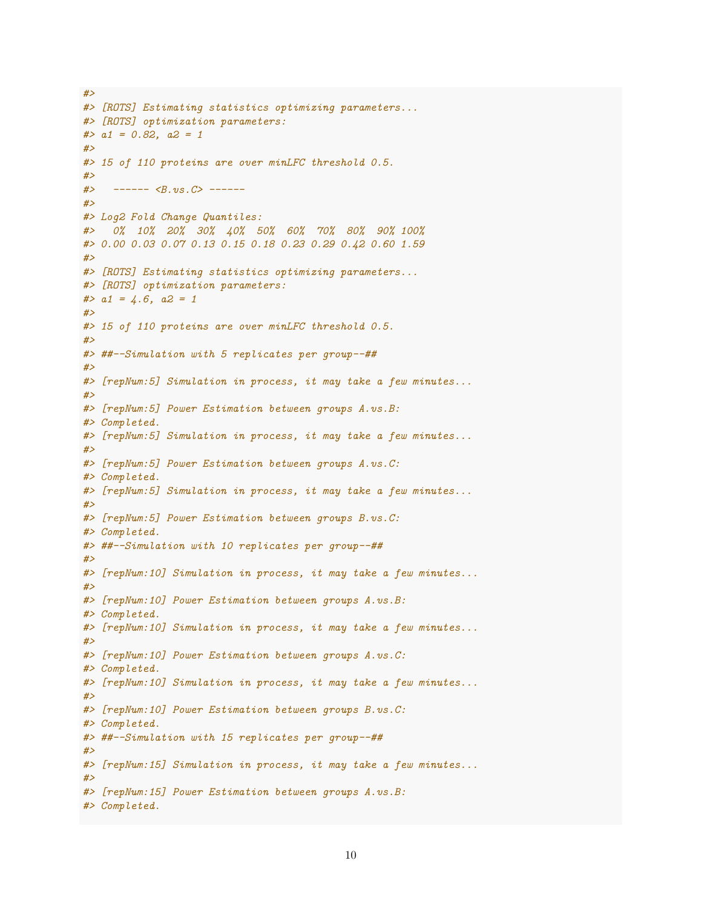```
#>
#> [ROTS] Estimating statistics optimizing parameters...
#> [ROTS] optimization parameters:
#> a1 = 0.82, a2 = 1
#>
#> 15 of 110 proteins are over minLFC threshold 0.5.
#>
#> ------ <B.vs.C> ------
#>
#> Log2 Fold Change Quantiles:
#> 0% 10% 20% 30% 40% 50% 60% 70% 80% 90% 100%
#> 0.00 0.03 0.07 0.13 0.15 0.18 0.23 0.29 0.42 0.60 1.59
#>
#> [ROTS] Estimating statistics optimizing parameters...
#> [ROTS] optimization parameters:
#> a1 = 4.6, a2 = 1
#>
#> 15 of 110 proteins are over minLFC threshold 0.5.
#>
#> ##--Simulation with 5 replicates per group--##
#>
#> [repNum:5] Simulation in process, it may take a few minutes...
#>
#> [repNum:5] Power Estimation between groups A.vs.B:
#> Completed.
#> [repNum:5] Simulation in process, it may take a few minutes...
#>
#> [repNum:5] Power Estimation between groups A.vs.C:
#> Completed.
#> [repNum:5] Simulation in process, it may take a few minutes...
#>
#> [repNum:5] Power Estimation between groups B.vs.C:
#> Completed.
#> ##--Simulation with 10 replicates per group--##
#>
#> [repNum:10] Simulation in process, it may take a few minutes...
#>
#> [repNum:10] Power Estimation between groups A.vs.B:
#> Completed.
#> [repNum:10] Simulation in process, it may take a few minutes...
#>
#> [repNum:10] Power Estimation between groups A.vs.C:
#> Completed.
#> [repNum:10] Simulation in process, it may take a few minutes...
#>
#> [repNum:10] Power Estimation between groups B.vs.C:
#> Completed.
#> ##--Simulation with 15 replicates per group--##
#>
#> [repNum:15] Simulation in process, it may take a few minutes...
#>
#> [repNum:15] Power Estimation between groups A.vs.B:
#> Completed.
```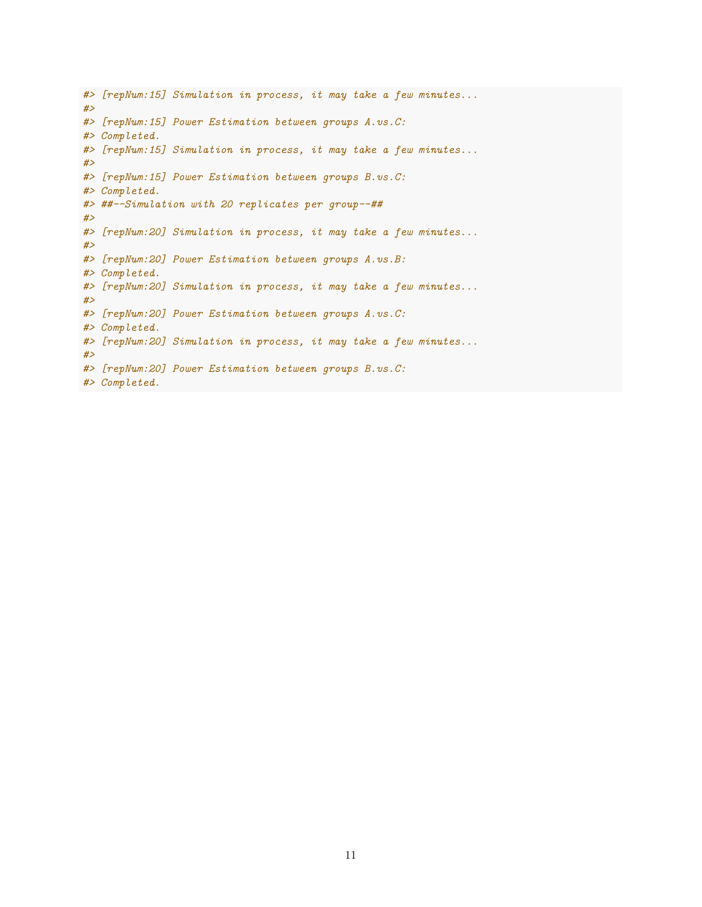*#> [repNum:15] Simulation in process, it may take a few minutes... #> #> [repNum:15] Power Estimation between groups A.vs.C: #> Completed. #> [repNum:15] Simulation in process, it may take a few minutes... #> #> [repNum:15] Power Estimation between groups B.vs.C: #> Completed. #> ##--Simulation with 20 replicates per group--## #> #> [repNum:20] Simulation in process, it may take a few minutes... #> #> [repNum:20] Power Estimation between groups A.vs.B: #> Completed. #> [repNum:20] Simulation in process, it may take a few minutes... #> #> [repNum:20] Power Estimation between groups A.vs.C: #> Completed. #> [repNum:20] Simulation in process, it may take a few minutes... #> #> [repNum:20] Power Estimation between groups B.vs.C: #> Completed.*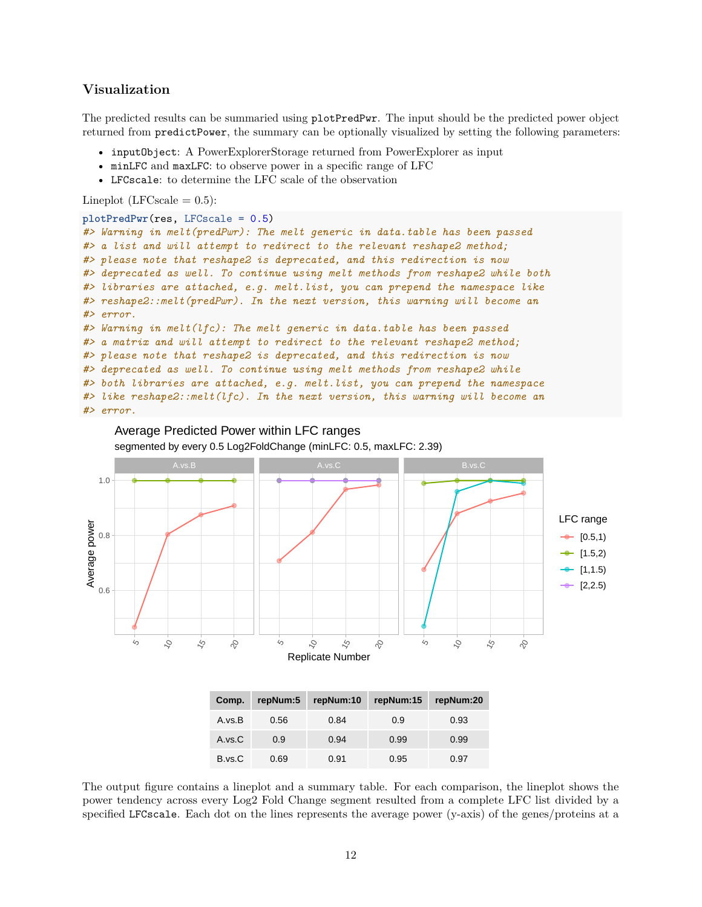### <span id="page-11-0"></span>**Visualization**

The predicted results can be summaried using plotPredPwr. The input should be the predicted power object returned from predictPower, the summary can be optionally visualized by setting the following parameters:

- inputObject: A PowerExplorerStorage returned from PowerExplorer as input
- minLFC and maxLFC: to observe power in a specific range of LFC
- LFCscale: to determine the LFC scale of the observation

Lineplot (LFCscale  $= 0.5$ ):

```
plotPredPwr(res, LFCscale = 0.5)
#> Warning in melt(predPwr): The melt generic in data.table has been passed
#> a list and will attempt to redirect to the relevant reshape2 method;
#> please note that reshape2 is deprecated, and this redirection is now
#> deprecated as well. To continue using melt methods from reshape2 while both
#> libraries are attached, e.g. melt.list, you can prepend the namespace like
#> reshape2::melt(predPwr). In the next version, this warning will become an
#> error.
#> Warning in melt(lfc): The melt generic in data.table has been passed
#> a matrix and will attempt to redirect to the relevant reshape2 method;
#> please note that reshape2 is deprecated, and this redirection is now
#> deprecated as well. To continue using melt methods from reshape2 while
#> both libraries are attached, e.g. melt.list, you can prepend the namespace
#> like reshape2::melt(lfc). In the next version, this warning will become an
#> error.
```


| Average Predicted Power within LFC ranges                         |  |
|-------------------------------------------------------------------|--|
| segmented by every 0.5 Log2FoldChange (minLFC: 0.5, maxLFC: 2.39) |  |

| Comp.  | repNum:5 | repNum:10 | repNum:15 | repNum:20 |
|--------|----------|-----------|-----------|-----------|
| A.vs.B | 0.56     | 0.84      | 0.9       | 0.93      |
| A.vs.C | 0.9      | 0.94      | 0.99      | 0.99      |
| B.vs.C | 0.69     | 0.91      | 0.95      | 0.97      |

The output figure contains a lineplot and a summary table. For each comparison, the lineplot shows the power tendency across every Log2 Fold Change segment resulted from a complete LFC list divided by a specified LFCscale. Each dot on the lines represents the average power (y-axis) of the genes/proteins at a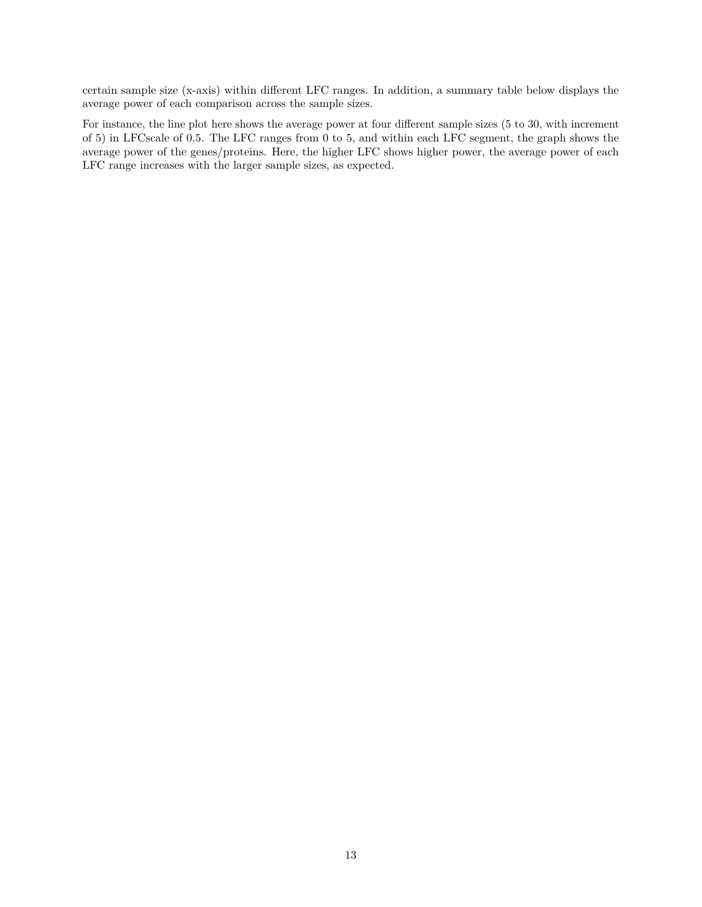certain sample size (x-axis) within different LFC ranges. In addition, a summary table below displays the average power of each comparison across the sample sizes.

For instance, the line plot here shows the average power at four different sample sizes (5 to 30, with increment of 5) in LFCscale of 0.5. The LFC ranges from 0 to 5, and within each LFC segment, the graph shows the average power of the genes/proteins. Here, the higher LFC shows higher power, the average power of each LFC range increases with the larger sample sizes, as expected.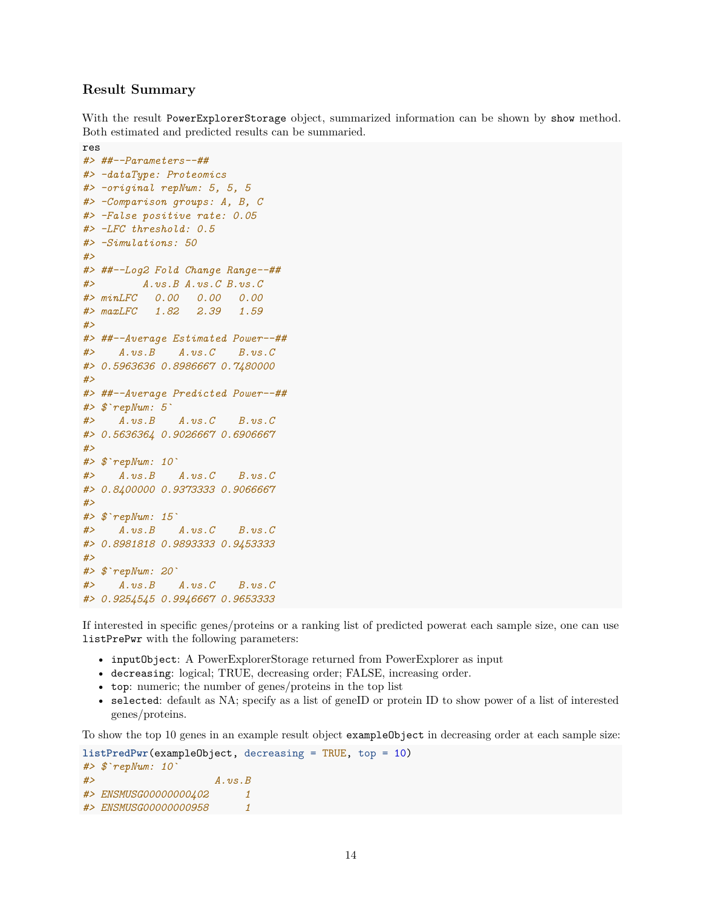### <span id="page-13-0"></span>**Result Summary**

With the result PowerExplorerStorage object, summarized information can be shown by show method. Both estimated and predicted results can be summaried.

```
res
#> ##--Parameters--##
#> -dataType: Proteomics
#> -original repNum: 5, 5, 5
#> -Comparison groups: A, B, C
#> -False positive rate: 0.05
#> -LFC threshold: 0.5
#> -Simulations: 50
#>
#> ##--Log2 Fold Change Range--##
#> A.vs.B A.vs.C B.vs.C
#> minLFC 0.00 0.00 0.00
#> maxLFC 1.82 2.39 1.59
#>
#> ##--Average Estimated Power--##
#> A.vs.B A.vs.C B.vs.C
#> 0.5963636 0.8986667 0.7480000
#>
#> ##--Average Predicted Power--##
#> $`repNum: 5`
#> A.vs.B A.vs.C B.vs.C
#> 0.5636364 0.9026667 0.6906667
#>
#> $`repNum: 10`
#> A.vs.B A.vs.C B.vs.C
#> 0.8400000 0.9373333 0.9066667
#>
#> $`repNum: 15`
#> A.vs.B A.vs.C B.vs.C
#> 0.8981818 0.9893333 0.9453333
#>
#> $`repNum: 20`
#> A.vs.B A.vs.C B.vs.C
#> 0.9254545 0.9946667 0.9653333
```
If interested in specific genes/proteins or a ranking list of predicted powerat each sample size, one can use listPrePwr with the following parameters:

- inputObject: A PowerExplorerStorage returned from PowerExplorer as input
- decreasing: logical; TRUE, decreasing order; FALSE, increasing order.
- top: numeric; the number of genes/proteins in the top list
- selected: default as NA; specify as a list of geneID or protein ID to show power of a list of interested genes/proteins.

To show the top 10 genes in an example result object exampleObject in decreasing order at each sample size:

```
listPredPwr(exampleObject, decreasing = TRUE, top = 10)
#> $`repNum: 10`
#> A.vs.B
#> ENSMUSG00000000402 1
#> ENSMUSG00000000958 1
```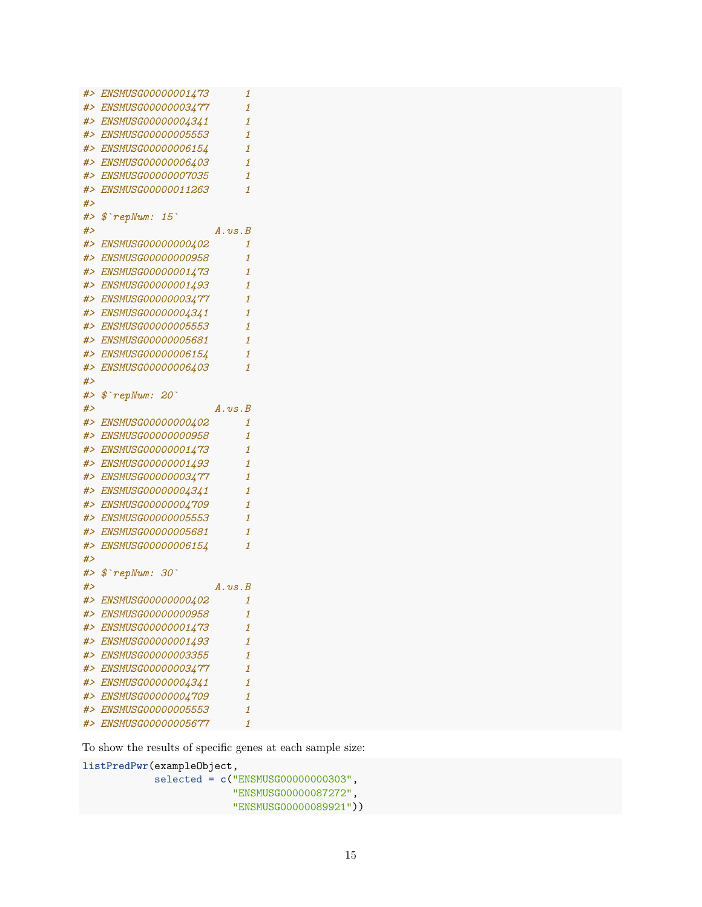```
#> ENSMUSG00000001473 1
#> ENSMUSG00000003477 1
#> ENSMUSG00000004341 1
#> ENSMUSG00000005553 1
#> ENSMUSG00000006154 1
#> ENSMUSG00000006403 1
#> ENSMUSG00000007035 1
#> ENSMUSG00000011263 1
#>
#> $`repNum: 15`
#> A.vs.B
#> ENSMUSG00000000402 1
#> ENSMUSG00000000958 1
#> ENSMUSG00000001473 1
#> ENSMUSG00000001493 1
#> ENSMUSG00000003477 1
#> ENSMUSG00000004341 1
#> ENSMUSG00000005553 1
#> ENSMUSG00000005681 1
#> ENSMUSG00000006154 1
#> ENSMUSG00000006403 1
#>
#> $`repNum: 20`
#> A.vs.B
#> ENSMUSG00000000402 1
#> ENSMUSG00000000958 1
#> ENSMUSG00000001473 1
#> ENSMUSG00000001493 1
#> ENSMUSG00000003477 1
#> ENSMUSG00000004341 1
#> ENSMUSG00000004709 1
#> ENSMUSG00000005553 1
#> ENSMUSG00000005681 1
#> ENSMUSG00000006154 1
#>
#> $`repNum: 30`
#> A.vs.B
#> ENSMUSG00000000402 1
#> ENSMUSG00000000958 1
#> ENSMUSG00000001473 1
#> ENSMUSG00000001493 1
#> ENSMUSG00000003355 1
#> ENSMUSG00000003477 1
#> ENSMUSG00000004341 1
#> ENSMUSG00000004709 1
#> ENSMUSG00000005553 1
#> ENSMUSG00000005677 1
```
To show the results of specific genes at each sample size:

**listPredPwr**(exampleObject,

```
selected = c("ENSMUSG00000000303",
             "ENSMUSG00000087272",
             "ENSMUSG00000089921"))
```